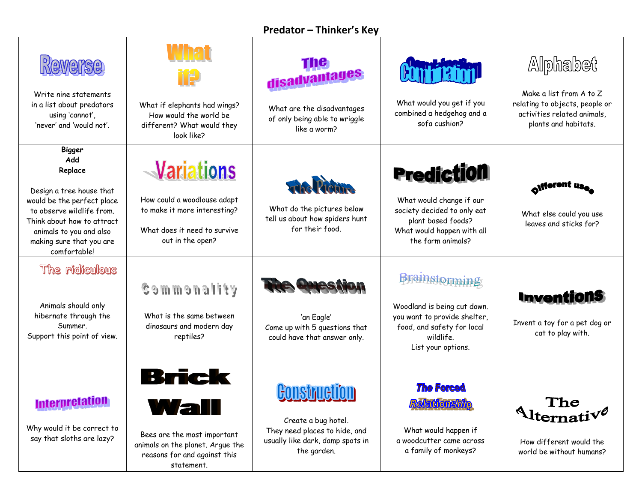| <b>Predator - Thinker's Key</b> |  |  |  |
|---------------------------------|--|--|--|
|---------------------------------|--|--|--|

| Reverse<br>Write nine statements<br>in a list about predators<br>using 'cannot',<br>'never' and 'would not'.                                                                                                                | What if elephants had wings?<br>How would the world be<br>different? What would they<br>look like?                                        | The <sup>-</sup><br>disadvantages<br>What are the disadvantages<br>of only being able to wriggle<br>like a worm? | What would you get if you<br>combined a hedgehog and a<br>sofa cushion?                                                                               | Alphabet<br>Make a list from A to Z<br>relating to objects, people or<br>activities related animals,<br>plants and habitats. |
|-----------------------------------------------------------------------------------------------------------------------------------------------------------------------------------------------------------------------------|-------------------------------------------------------------------------------------------------------------------------------------------|------------------------------------------------------------------------------------------------------------------|-------------------------------------------------------------------------------------------------------------------------------------------------------|------------------------------------------------------------------------------------------------------------------------------|
| <b>Bigger</b><br>Add<br>Replace<br>Design a tree house that<br>would be the perfect place<br>to observe wildlife from.<br>Think about how to attract<br>animals to you and also<br>making sure that you are<br>comfortable! | <b>Variations</b><br>How could a woodlouse adapt<br>to make it more interesting?<br>What does it need to survive<br>out in the open?      | Frida Picture<br>What do the pictures below<br>tell us about how spiders hunt<br>for their food.                 | <b>Prediction</b><br>What would change if our<br>society decided to only eat<br>plant based foods?<br>What would happen with all<br>the farm animals? | What else could you use<br>leaves and sticks for?                                                                            |
| The ridiculous<br>Animals should only<br>hibernate through the<br>Summer.<br>Support this point of view.                                                                                                                    | Gommonality<br>What is the same between<br>dinosaurs and modern day<br>reptiles?                                                          | The Question<br>'an Eagle'<br>Come up with 5 questions that<br>could have that answer only.                      | Brainstorming<br>Woodland is being cut down.<br>you want to provide shelter,<br>food, and safety for local<br>wildlife.<br>List your options.         | <b>Inventions</b><br>Invent a toy for a pet dog or<br>cat to play with.                                                      |
| <b>Interpretation</b><br>Why would it be correct to<br>say that sloths are lazy?                                                                                                                                            | <b>Brick</b><br>Val<br>Ш<br>Bees are the most important<br>animals on the planet. Argue the<br>reasons for and against this<br>statement. | Create a bug hotel.<br>They need places to hide, and<br>usually like dark, damp spots in<br>the garden.          | <b>The Forced</b><br><b>Relationship</b><br>What would happen if<br>a woodcutter came across<br>a family of monkeys?                                  | The<br>$\Lambda$ lternative<br>How different would the<br>world be without humans?                                           |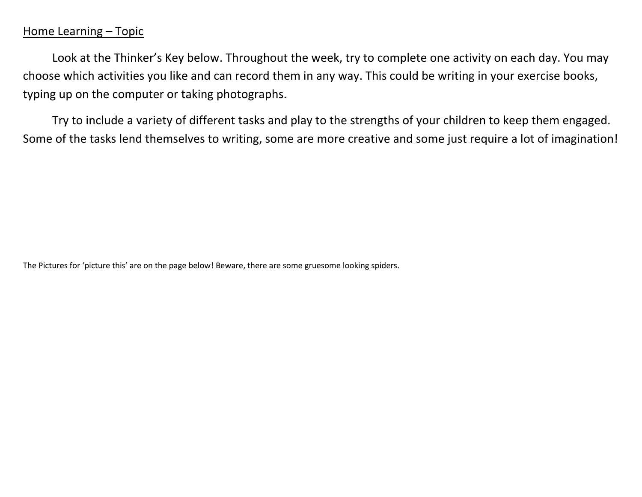## Home Learning – Topic

Look at the Thinker's Key below. Throughout the week, try to complete one activity on each day. You may choose which activities you like and can record them in any way. This could be writing in your exercise books, typing up on the computer or taking photographs.

Try to include a variety of different tasks and play to the strengths of your children to keep them engaged. Some of the tasks lend themselves to writing, some are more creative and some just require a lot of imagination!

The Pictures for 'picture this' are on the page below! Beware, there are some gruesome looking spiders.